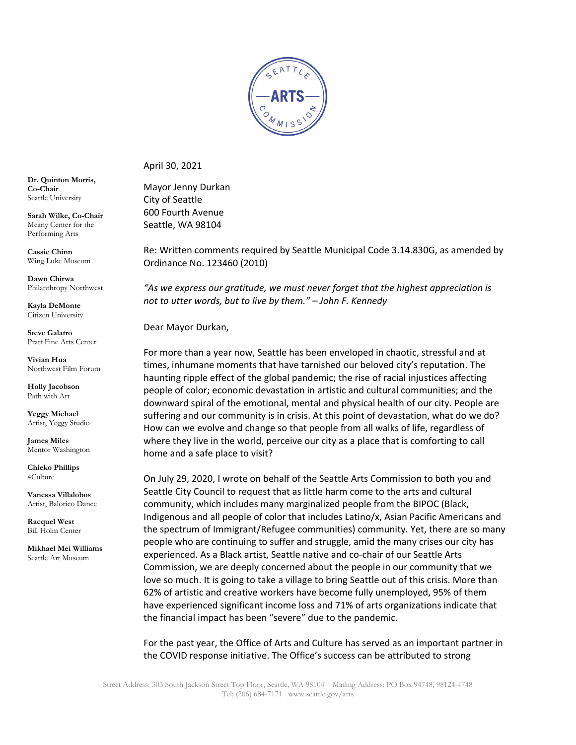

April 30, 2021

Mayor Jenny Durkan City of Seattle 600 Fourth Avenue Seattle, WA 98104

Re: Written comments required by Seattle Municipal Code 3.14.830G, as amended by Ordinance No. 123460 (2010)

*"As we express our gratitude, we must never forget that the highest appreciation is not to utter words, but to live by them." – John F. Kennedy*

Dear Mayor Durkan,

For more than a year now, Seattle has been enveloped in chaotic, stressful and at times, inhumane moments that have tarnished our beloved city's reputation. The haunting ripple effect of the global pandemic; the rise of racial injustices affecting people of color; economic devastation in artistic and cultural communities; and the downward spiral of the emotional, mental and physical health of our city. People are suffering and our community is in crisis. At this point of devastation, what do we do? How can we evolve and change so that people from all walks of life, regardless of where they live in the world, perceive our city as a place that is comforting to call home and a safe place to visit?

On July 29, 2020, I wrote on behalf of the Seattle Arts Commission to both you and Seattle City Council to request that as little harm come to the arts and cultural community, which includes many marginalized people from the BIPOC (Black, Indigenous and all people of color that includes Latino/x, Asian Pacific Americans and the spectrum of Immigrant/Refugee communities) community. Yet, there are so many people who are continuing to suffer and struggle, amid the many crises our city has experienced. As a Black artist, Seattle native and co-chair of our Seattle Arts Commission, we are deeply concerned about the people in our community that we love so much. It is going to take a village to bring Seattle out of this crisis. More than 62% of artistic and creative workers have become fully unemployed, 95% of them have experienced significant income loss and 71% of arts organizations indicate that the financial impact has been "severe" due to the pandemic.

For the past year, the Office of Arts and Culture has served as an important partner in the COVID response initiative. The Office's success can be attributed to strong

**Dr. Quinton Morris, Co-Chair** Seattle University

**Sarah Wilke, Co-Chair** Meany Center for the Performing Arts

**Cassie Chinn** Wing Luke Museum

**Dawn Chirwa** Philanthropy Northwest

**Kayla DeMonte** Citizen University

**Steve Galatro** Pratt Fine Arts Center

**Vivian Hua** Northwest Film Forum

**Holly Jacobson**  Path with Art

**Yeggy Michael** Artist, Yeggy Studio

**James Miles** Mentor Washington

**Chieko Phillips** 4Culture

**Vanessa Villalobos** Artist, Balorico Dance

**Racquel West** Bill Holm Center

**Mikhael Mei Williams** Seattle Art Museum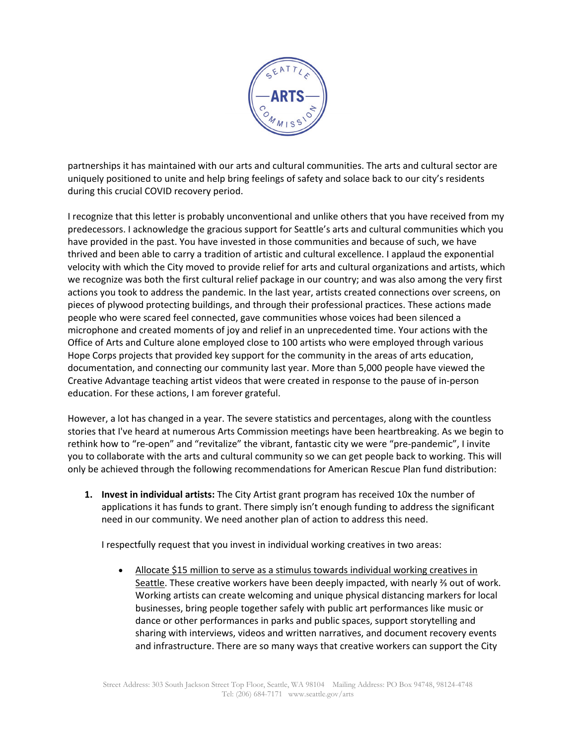

partnerships it has maintained with our arts and cultural communities. The arts and cultural sector are uniquely positioned to unite and help bring feelings of safety and solace back to our city's residents during this crucial COVID recovery period.

I recognize that this letter is probably unconventional and unlike others that you have received from my predecessors. I acknowledge the gracious support for Seattle's arts and cultural communities which you have provided in the past. You have invested in those communities and because of such, we have thrived and been able to carry a tradition of artistic and cultural excellence. I applaud the exponential velocity with which the City moved to provide relief for arts and cultural organizations and artists, which we recognize was both the first cultural relief package in our country; and was also among the very first actions you took to address the pandemic. In the last year, artists created connections over screens, on pieces of plywood protecting buildings, and through their professional practices. These actions made people who were scared feel connected, gave communities whose voices had been silenced a microphone and created moments of joy and relief in an unprecedented time. Your actions with the Office of Arts and Culture alone employed close to 100 artists who were employed through various Hope Corps projects that provided key support for the community in the areas of arts education, documentation, and connecting our community last year. More than 5,000 people have viewed the Creative Advantage teaching artist videos that were created in response to the pause of in-person education. For these actions, I am forever grateful.

However, a lot has changed in a year. The severe statistics and percentages, along with the countless stories that I've heard at numerous Arts Commission meetings have been heartbreaking. As we begin to rethink how to "re-open" and "revitalize" the vibrant, fantastic city we were "pre-pandemic", I invite you to collaborate with the arts and cultural community so we can get people back to working. This will only be achieved through the following recommendations for American Rescue Plan fund distribution:

**1. Invest in individual artists:** The City Artist grant program has received 10x the number of applications it has funds to grant. There simply isn't enough funding to address the significant need in our community. We need another plan of action to address this need.

I respectfully request that you invest in individual working creatives in two areas:

• Allocate \$15 million to serve as a stimulus towards individual working creatives in Seattle. These creative workers have been deeply impacted, with nearly ⅔ out of work. Working artists can create welcoming and unique physical distancing markers for local businesses, bring people together safely with public art performances like music or dance or other performances in parks and public spaces, support storytelling and sharing with interviews, videos and written narratives, and document recovery events and infrastructure. There are so many ways that creative workers can support the City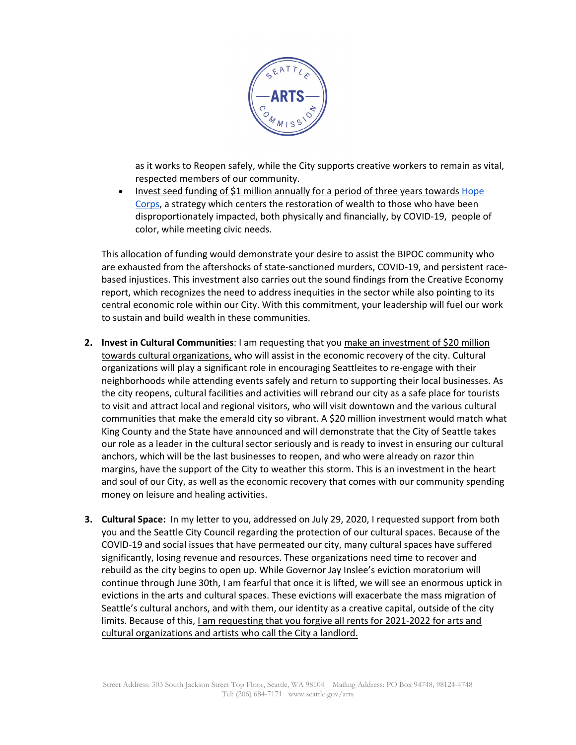

as it works to Reopen safely, while the City supports creative workers to remain as vital, respected members of our community.

• Invest seed funding of \$1 million annually for a period of three years towards Hope [Corps,](https://www.kineticwest.com/blog/hopecorps) a strategy which centers the restoration of wealth to those who have been disproportionately impacted, both physically and financially, by COVID-19, people of color, while meeting civic needs.

This allocation of funding would demonstrate your desire to assist the BIPOC community who are exhausted from the aftershocks of state-sanctioned murders, COVID-19, and persistent racebased injustices. This investment also carries out the sound findings from the Creative Economy report, which recognizes the need to address inequities in the sector while also pointing to its central economic role within our City. With this commitment, your leadership will fuel our work to sustain and build wealth in these communities.

- **2. Invest in Cultural Communities**: I am requesting that you make an investment of \$20 million towards cultural organizations, who will assist in the economic recovery of the city. Cultural organizations will play a significant role in encouraging Seattleites to re-engage with their neighborhoods while attending events safely and return to supporting their local businesses. As the city reopens, cultural facilities and activities will rebrand our city as a safe place for tourists to visit and attract local and regional visitors, who will visit downtown and the various cultural communities that make the emerald city so vibrant. A \$20 million investment would match what King County and the State have announced and will demonstrate that the City of Seattle takes our role as a leader in the cultural sector seriously and is ready to invest in ensuring our cultural anchors, which will be the last businesses to reopen, and who were already on razor thin margins, have the support of the City to weather this storm. This is an investment in the heart and soul of our City, as well as the economic recovery that comes with our community spending money on leisure and healing activities.
- **3. Cultural Space:** In my letter to you, addressed on July 29, 2020, I requested support from both you and the Seattle City Council regarding the protection of our cultural spaces. Because of the COVID-19 and social issues that have permeated our city, many cultural spaces have suffered significantly, losing revenue and resources. These organizations need time to recover and rebuild as the city begins to open up. While Governor Jay Inslee's eviction moratorium will continue through June 30th, I am fearful that once it is lifted, we will see an enormous uptick in evictions in the arts and cultural spaces. These evictions will exacerbate the mass migration of Seattle's cultural anchors, and with them, our identity as a creative capital, outside of the city limits. Because of this, I am requesting that you forgive all rents for 2021-2022 for arts and cultural organizations and artists who call the City a landlord.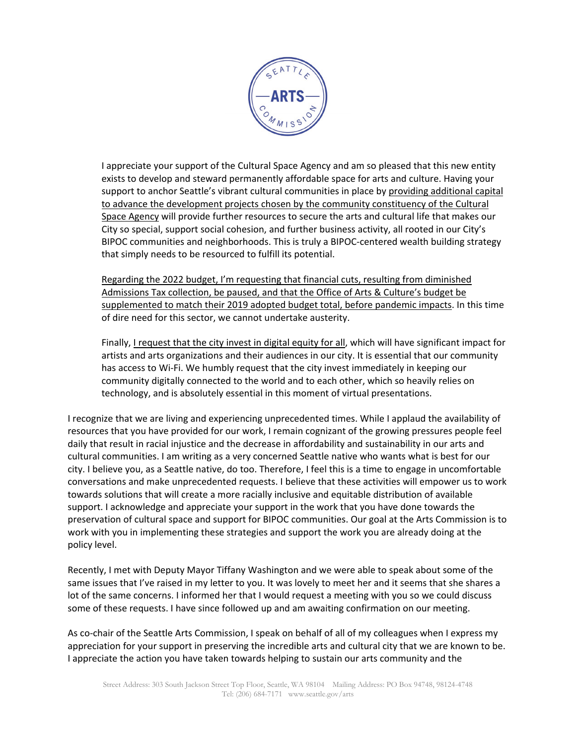

I appreciate your support of the Cultural Space Agency and am so pleased that this new entity exists to develop and steward permanently affordable space for arts and culture. Having your support to anchor Seattle's vibrant cultural communities in place by providing additional capital to advance the development projects chosen by the community constituency of the Cultural Space Agency will provide further resources to secure the arts and cultural life that makes our City so special, support social cohesion, and further business activity, all rooted in our City's BIPOC communities and neighborhoods. This is truly a BIPOC-centered wealth building strategy that simply needs to be resourced to fulfill its potential.

Regarding the 2022 budget, I'm requesting that financial cuts, resulting from diminished Admissions Tax collection, be paused, and that the Office of Arts & Culture's budget be supplemented to match their 2019 adopted budget total, before pandemic impacts. In this time of dire need for this sector, we cannot undertake austerity.

Finally, I request that the city invest in digital equity for all, which will have significant impact for artists and arts organizations and their audiences in our city. It is essential that our community has access to Wi-Fi. We humbly request that the city invest immediately in keeping our community digitally connected to the world and to each other, which so heavily relies on technology, and is absolutely essential in this moment of virtual presentations.

I recognize that we are living and experiencing unprecedented times. While I applaud the availability of resources that you have provided for our work, I remain cognizant of the growing pressures people feel daily that result in racial injustice and the decrease in affordability and sustainability in our arts and cultural communities. I am writing as a very concerned Seattle native who wants what is best for our city. I believe you, as a Seattle native, do too. Therefore, I feel this is a time to engage in uncomfortable conversations and make unprecedented requests. I believe that these activities will empower us to work towards solutions that will create a more racially inclusive and equitable distribution of available support. I acknowledge and appreciate your support in the work that you have done towards the preservation of cultural space and support for BIPOC communities. Our goal at the Arts Commission is to work with you in implementing these strategies and support the work you are already doing at the policy level.

Recently, I met with Deputy Mayor Tiffany Washington and we were able to speak about some of the same issues that I've raised in my letter to you. It was lovely to meet her and it seems that she shares a lot of the same concerns. I informed her that I would request a meeting with you so we could discuss some of these requests. I have since followed up and am awaiting confirmation on our meeting.

As co-chair of the Seattle Arts Commission, I speak on behalf of all of my colleagues when I express my appreciation for your support in preserving the incredible arts and cultural city that we are known to be. I appreciate the action you have taken towards helping to sustain our arts community and the